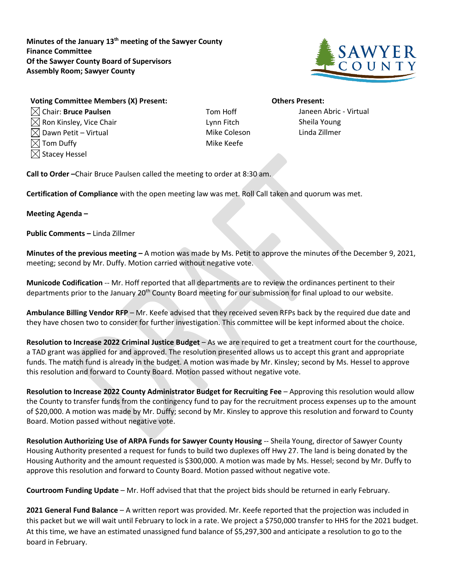**Minutes of the January 13th meeting of the Sawyer County Finance Committee Of the Sawyer County Board of Supervisors Assembly Room; Sawyer County**



## **Voting Committee Members (X) Present: Others Present:** Chair: **Bruce Paulsen** Tom Hoff Janeen Abric - Virtual

 $\boxtimes$  Ron Kinsley, Vice Chair  $\blacksquare$  Lynn Fitch Sheila Young  $\boxtimes$  Dawn Petit – Virtual  $\blacksquare$  and  $\blacksquare$  and  $\blacksquare$  and  $\blacksquare$  and  $\blacksquare$  and  $\blacksquare$  and  $\blacksquare$  and  $\blacksquare$  and  $\blacksquare$  and  $\blacksquare$  and  $\blacksquare$  and  $\blacksquare$  and  $\blacksquare$  and  $\blacksquare$  and  $\blacksquare$  and  $\blacksquare$  and  $\blacksquare$  and  $\blacksquare$   $\boxtimes$  Tom Duffy  $\blacksquare$  $\boxtimes$  Stacey Hessel

**Call to Order –**Chair Bruce Paulsen called the meeting to order at 8:30 am.

**Certification of Compliance** with the open meeting law was met. Roll Call taken and quorum was met.

## **Meeting Agenda –**

**Public Comments –** Linda Zillmer

**Minutes of the previous meeting –** A motion was made by Ms. Petit to approve the minutes of the December 9, 2021, meeting; second by Mr. Duffy. Motion carried without negative vote.

**Municode Codification** -- Mr. Hoff reported that all departments are to review the ordinances pertinent to their departments prior to the January 20th County Board meeting for our submission for final upload to our website.

**Ambulance Billing Vendor RFP** – Mr. Keefe advised that they received seven RFPs back by the required due date and they have chosen two to consider for further investigation. This committee will be kept informed about the choice.

**Resolution to Increase 2022 Criminal Justice Budget** – As we are required to get a treatment court for the courthouse, a TAD grant was applied for and approved. The resolution presented allows us to accept this grant and appropriate funds. The match fund is already in the budget. A motion was made by Mr. Kinsley; second by Ms. Hessel to approve this resolution and forward to County Board. Motion passed without negative vote.

**Resolution to Increase 2022 County Administrator Budget for Recruiting Fee** – Approving this resolution would allow the County to transfer funds from the contingency fund to pay for the recruitment process expenses up to the amount of \$20,000. A motion was made by Mr. Duffy; second by Mr. Kinsley to approve this resolution and forward to County Board. Motion passed without negative vote.

**Resolution Authorizing Use of ARPA Funds for Sawyer County Housing** -- Sheila Young, director of Sawyer County Housing Authority presented a request for funds to build two duplexes off Hwy 27. The land is being donated by the Housing Authority and the amount requested is \$300,000. A motion was made by Ms. Hessel; second by Mr. Duffy to approve this resolution and forward to County Board. Motion passed without negative vote.

**Courtroom Funding Update** – Mr. Hoff advised that that the project bids should be returned in early February.

**2021 General Fund Balance** – A written report was provided. Mr. Keefe reported that the projection was included in this packet but we will wait until February to lock in a rate. We project a \$750,000 transfer to HHS for the 2021 budget. At this time, we have an estimated unassigned fund balance of \$5,297,300 and anticipate a resolution to go to the board in February.